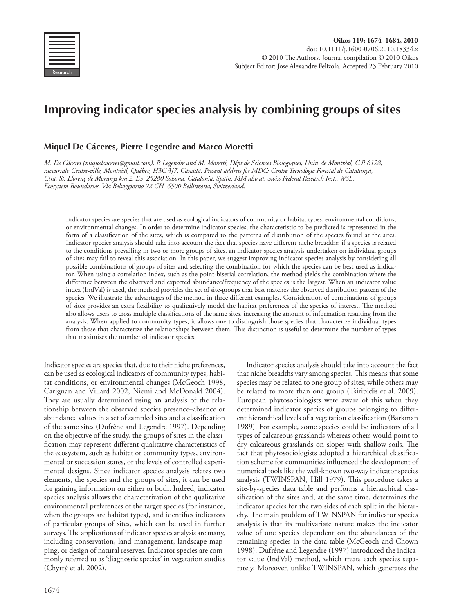| Research |
|----------|

# **Improving indicator species analysis by combining groups of sites**

# **Miquel De Cáceres, Pierre Legendre and Marco Moretti**

 *M. De Cáceres (miquelcaceres@gmail.com), P. Legendre and M. Moretti, Dépt de Sciences Biologiques, Univ. de Montréal, C.P. 6128, succursale Centre-ville, Montréal, Québec, H3C 3J7, Canada. Present address for MDC: Centre Tecnològic Forestal de Catalunya, Ctra. St. Llorenç de Morunys km 2, ES–25280 Solsona, Catalonia, Spain. MM also at: Swiss Federal Research Inst., WSL, Ecosystem Boundaries, Via Belsoggiorno 22 CH–6500 Bellinzona, Switzerland.* 

 Indicator species are species that are used as ecological indicators of community or habitat types, environmental conditions, or environmental changes. In order to determine indicator species, the characteristic to be predicted is represented in the form of a classification of the sites, which is compared to the patterns of distribution of the species found at the sites. Indicator species analysis should take into account the fact that species have different niche breadths: if a species is related to the conditions prevailing in two or more groups of sites, an indicator species analysis undertaken on individual groups of sites may fail to reveal this association. In this paper, we suggest improving indicator species analysis by considering all possible combinations of groups of sites and selecting the combination for which the species can be best used as indicator. When using a correlation index, such as the point-biserial correlation, the method yields the combination where the difference between the observed and expected abundance/frequency of the species is the largest. When an indicator value index (IndVal) is used, the method provides the set of site-groups that best matches the observed distribution pattern of the species. We illustrate the advantages of the method in three different examples. Consideration of combinations of groups of sites provides an extra flexibility to qualitatively model the habitat preferences of the species of interest. The method also allows users to cross multiple classifications of the same sites, increasing the amount of information resulting from the analysis. When applied to community types, it allows one to distinguish those species that characterize individual types from those that characterize the relationships between them. This distinction is useful to determine the number of types that maximizes the number of indicator species.

 Indicator species are species that, due to their niche preferences, can be used as ecological indicators of community types, habitat conditions, or environmental changes (McGeoch 1998, Carignan and Villard 2002, Niemi and McDonald 2004). They are usually determined using an analysis of the relationship between the observed species presence–absence or abundance values in a set of sampled sites and a classification of the same sites (Dufrêne and Legendre 1997). Depending on the objective of the study, the groups of sites in the classification may represent different qualitative characteristics of the ecosystem, such as habitat or community types, environmental or succession states, or the levels of controlled experimental designs. Since indicator species analysis relates two elements, the species and the groups of sites, it can be used for gaining information on either or both. Indeed, indicator species analysis allows the characterization of the qualitative environmental preferences of the target species (for instance, when the groups are habitat types), and identifies indicators of particular groups of sites, which can be used in further surveys. The applications of indicator species analysis are many, including conservation, land management, landscape mapping, or design of natural reserves. Indicator species are commonly referred to as 'diagnostic species' in vegetation studies (Chytrý et al. 2002).

 Indicator species analysis should take into account the fact that niche breadths vary among species. This means that some species may be related to one group of sites, while others may be related to more than one group (Tsiripidis et al. 2009). European phytosociologists were aware of this when they determined indicator species of groups belonging to different hierarchical levels of a vegetation classification (Barkman 1989). For example, some species could be indicators of all types of calcareous grasslands whereas others would point to dry calcareous grasslands on slopes with shallow soils. The fact that phytosociologists adopted a hierarchical classification scheme for communities influenced the development of numerical tools like the well-known two-way indicator species analysis (TWINSPAN, Hill 1979). This procedure takes a site-by-species data table and performs a hierarchical classification of the sites and, at the same time, determines the indicator species for the two sides of each split in the hierarchy. The main problem of TWINSPAN for indicator species analysis is that its multivariate nature makes the indicator value of one species dependent on the abundances of the remaining species in the data table (McGeoch and Chown 1998). Dufrêne and Legendre (1997) introduced the indicator value (IndVal) method, which treats each species separately. Moreover, unlike TWINSPAN, which generates the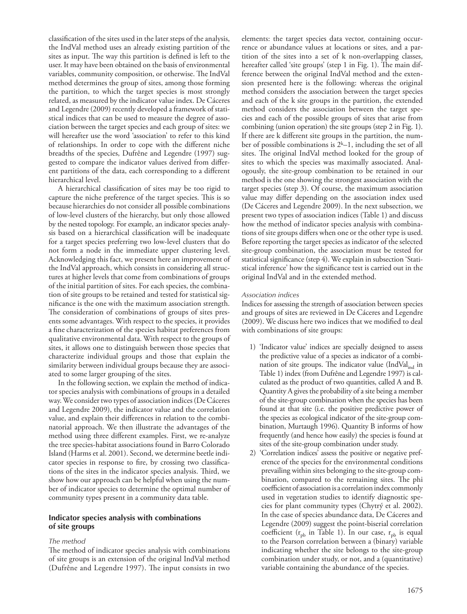classification of the sites used in the later steps of the analysis, the IndVal method uses an already existing partition of the sites as input. The way this partition is defined is left to the user. It may have been obtained on the basis of environmental variables, community composition, or otherwise. The IndVal method determines the group of sites, among those forming the partition, to which the target species is most strongly related, as measured by the indicator value index. De Cáceres and Legendre (2009) recently developed a framework of statistical indices that can be used to measure the degree of association between the target species and each group of sites: we will hereafter use the word 'association' to refer to this kind of relationships. In order to cope with the different niche breadths of the species, Dufrêne and Legendre (1997) suggested to compare the indicator values derived from different partitions of the data, each corresponding to a different hierarchical level.

A hierarchical classification of sites may be too rigid to capture the niche preference of the target species. This is so because hierarchies do not consider all possible combinations of low-level clusters of the hierarchy, but only those allowed by the nested topology. For example, an indicator species analysis based on a hierarchical classification will be inadequate for a target species preferring two low-level clusters that do not form a node in the immediate upper clustering level. Acknowledging this fact, we present here an improvement of the IndVal approach, which consists in considering all structures at higher levels that come from combinations of groups of the initial partition of sites. For each species, the combination of site groups to be retained and tested for statistical significance is the one with the maximum association strength. The consideration of combinations of groups of sites presents some advantages. With respect to the species, it provides a fine characterization of the species habitat preferences from qualitative environmental data. With respect to the groups of sites, it allows one to distinguish between those species that characterize individual groups and those that explain the similarity between individual groups because they are associated to some larger grouping of the sites.

 In the following section, we explain the method of indicator species analysis with combinations of groups in a detailed way. We consider two types of association indices (De Cáceres and Legendre 2009), the indicator value and the correlation value, and explain their differences in relation to the combinatorial approach. We then illustrate the advantages of the method using three different examples. First, we re-analyze the tree species-habitat associations found in Barro Colorado Island (Harms et al. 2001). Second, we determine beetle indicator species in response to fire, by crossing two classifications of the sites in the indicator species analysis. Third, we show how our approach can be helpful when using the number of indicator species to determine the optimal number of community types present in a community data table.

## **Indicator species analysis with combinations of site groups**

## *The method*

The method of indicator species analysis with combinations of site groups is an extension of the original IndVal method (Dufrêne and Legendre 1997). The input consists in two

elements: the target species data vector, containing occurrence or abundance values at locations or sites, and a partition of the sites into a set of k non-overlapping classes, hereafter called 'site groups' (step 1 in Fig. 1). The main difference between the original IndVal method and the extension presented here is the following: whereas the original method considers the association between the target species and each of the k site groups in the partition, the extended method considers the association between the target species and each of the possible groups of sites that arise from combining (union operation) the site groups (step 2 in Fig. 1). If there are k different site groups in the partition, the number of possible combinations is  $2<sup>k</sup>-1$ , including the set of all sites. The original IndVal method looked for the group of sites to which the species was maximally associated. Analogously, the site-group combination to be retained in our method is the one showing the strongest association with the target species (step 3). Of course, the maximum association value may differ depending on the association index used (De Cáceres and Legendre 2009). In the next subsection, we present two types of association indices (Table 1) and discuss how the method of indicator species analysis with combinations of site groups differs when one or the other type is used. Before reporting the target species as indicator of the selected site-group combination, the association must be tested for statistical significance (step 4). We explain in subsection 'Statistical inference' how the significance test is carried out in the original IndVal and in the extended method.

#### *Association indices*

 Indices for assessing the strength of association between species and groups of sites are reviewed in De Cáceres and Legendre (2009). We discuss here two indices that we modified to deal with combinations of site groups:

- 1) 'Indicator value' indices are specially designed to assess the predictive value of a species as indicator of a combination of site groups. The indicator value (IndVal<sub>ind</sub> in Table 1) index (from Dufrêne and Legendre 1997) is calculated as the product of two quantities, called A and B. Quantity A gives the probability of a site being a member of the site-group combination when the species has been found at that site (i.e. the positive predictive power of the species as ecological indicator of the site-group combination, Murtaugh 1996). Quantity B informs of how frequently (and hence how easily) the species is found at sites of the site-group combination under study.
- 2) 'Correlation indices' assess the positive or negative preference of the species for the environmental conditions prevailing within sites belonging to the site-group combination, compared to the remaining sites. The phi coefficient of association is a correlation index commonly used in vegetation studies to identify diagnostic species for plant community types (Chytrý et al. 2002). In the case of species abundance data, De Cáceres and Legendre (2009) suggest the point-biserial correlation coefficient ( $r_{pb}$  in Table 1). In our case,  $r_{pb}$  is equal to the Pearson correlation between a (binary) variable indicating whether the site belongs to the site-group combination under study, or not, and a (quantitative) variable containing the abundance of the species.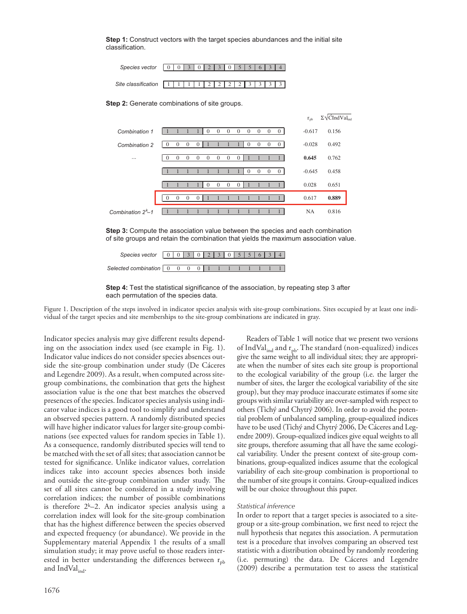**Step 1:** Construct vectors with the target species abundances and the initial site classification.



**Step 2:** Generate combinations of site groups.



**Step 3:** Compute the association value between the species and each combination of site groups and retain the combination that yields the maximum association value.

| Selected combination $\begin{array}{ c c c c c c c c c } \hline 0 & 0 & 0 & 0 & 1 & 1 \ \hline \end{array}$ |  |  |  |  |  |  |
|-------------------------------------------------------------------------------------------------------------|--|--|--|--|--|--|



Figure 1. Description of the steps involved in indicator species analysis with site-group combinations. Sites occupied by at least one individual of the target species and site memberships to the site-group combinations are indicated in gray.

Indicator species analysis may give different results depending on the association index used (see example in Fig. 1). Indicator value indices do not consider species absences outside the site-group combination under study (De Cáceres and Legendre 2009). As a result, when computed across sitegroup combinations, the combination that gets the highest association value is the one that best matches the observed presences of the species. Indicator species analysis using indicator value indices is a good tool to simplify and understand an observed species pattern. A randomly distributed species will have higher indicator values for larger site-group combinations (see expected values for random species in Table 1). As a consequence, randomly distributed species will tend to be matched with the set of all sites; that association cannot be tested for significance. Unlike indicator values, correlation indices take into account species absences both inside and outside the site-group combination under study. The set of all sites cannot be considered in a study involving correlation indices; the number of possible combinations is therefore 2k–2. An indicator species analysis using a correlation index will look for the site-group combination that has the highest difference between the species observed and expected frequency (or abundance). We provide in the Supplementary material Appendix 1 the results of a small simulation study; it may prove useful to those readers interested in better understanding the differences between  $r_{\text{pb}}$ and IndVal $_{\text{ind}}$ .

 Readers of Table 1 will notice that we present two versions of IndVal<sub>ind</sub> and  $r_{\rm pb}$ . The standard (non-equalized) indices give the same weight to all individual sites; they are appropriate when the number of sites each site group is proportional to the ecological variability of the group (i.e. the larger the number of sites, the larger the ecological variability of the site group), but they may produce inaccurate estimates if some site groups with similar variability are over-sampled with respect to others (Tichý and Chytrý 2006). In order to avoid the potential problem of unbalanced sampling, group-equalized indices have to be used (Tichý and Chytrý 2006, De Cáceres and Legendre 2009). Group-equalized indices give equal weights to all site groups, therefore assuming that all have the same ecological variability. Under the present context of site-group combinations, group-equalized indices assume that the ecological variability of each site-group combination is proportional to the number of site groups it contains. Group-equalized indices will be our choice throughout this paper.

#### *Statistical inference*

 In order to report that a target species is associated to a sitegroup or a site-group combination, we first need to reject the null hypothesis that negates this association. A permutation test is a procedure that involves comparing an observed test statistic with a distribution obtained by randomly reordering (i.e. permuting) the data. De Cáceres and Legendre (2009) describe a permutation test to assess the statistical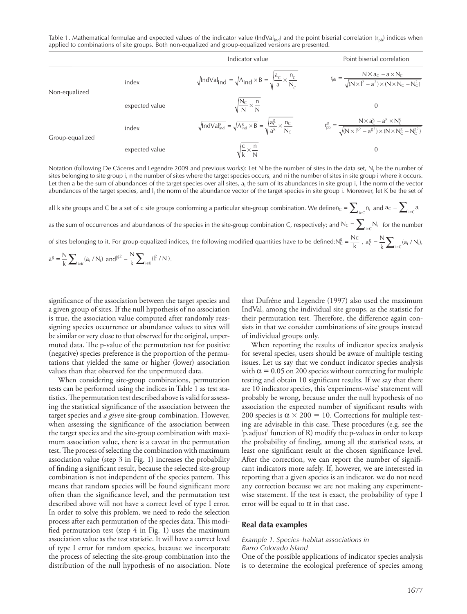Table 1. Mathematical formulae and expected values of the indicator value (IndVal<sub>ind</sub>) and the point biserial correlation ( $r_{\text{pb}}$ ) indices when applied to combinations of site groups. Both non-equalized and group-equalized versions are presented.

|                 |                | Indicator value                                                                                                                               | Point biserial correlation                                                                                                                                                                        |
|-----------------|----------------|-----------------------------------------------------------------------------------------------------------------------------------------------|---------------------------------------------------------------------------------------------------------------------------------------------------------------------------------------------------|
| Non-equalized   | index          | $\sqrt{\text{IndVal}_{\text{ind}}} = \sqrt{A_{\text{ind}} \times B} = \sqrt{\frac{a_{\text{c}}}{a}} \times \frac{n_{\text{c}}}{N_{\text{c}}}$ | $r_{\rm pb} = \frac{N \times a_{\rm C} - a \times N_{\rm C}}{\sqrt{(N \times l^2 - a^2) \times (N \times N_{\rm C} - N_{\rm C}^2)}}$                                                              |
|                 | expected value | $\sqrt{\frac{N_C}{N}} \times \frac{n}{N}$                                                                                                     | $\Omega$                                                                                                                                                                                          |
|                 | index          | $\sqrt{\text{IndVa}_{\text{ind}}^g} = \sqrt{A_{\text{ind}}^g \times B} = \sqrt{\frac{a_C^g}{a^g}} \times \frac{n_C}{N_C}$                     | $r_{\rm pb}^{\rm g} = \frac{N \times a_{\rm C}^{\rm g} - a^{\rm g} \times N_{\rm C}^{\rm g}}{\sqrt{(N \times I^{\rm g2} - a^{\rm g2}) \times (N \times N_{\rm C}^{\rm g} - N_{\rm C}^{\rm g2})}}$ |
| Group-equalized | expected value | $\sqrt{\frac{c}{k}} \times \frac{n}{N}$                                                                                                       | 0                                                                                                                                                                                                 |

Notation (following De Cáceres and Legendre 2009 and previous works): Let N be the number of sites in the data set, N<sub>i</sub> be the number of sites belonging to site group i, n the number of sites where the target species occurs, and ni the number of sites in site group i where it occurs. Let then a be the sum of abundances of the target species over all sites,  $a_i$  the sum of its abundances in site group i, I the norm of the vector abundances of the target species, and l<sub>i</sub> the norm of the abundance vector of the target species in site group i. Moreover, let K be the set of

all k site groups and C be a set of c site groups conforming a particular site-group combination. We definen $_c$  =  $\sum_{i\in C}$   $_{n_i}$  and a $_c$  =  $\sum_{i\in C}$  a as the sum of occurrences and abundances of the species in the site-group combination C, respectively; and  $N_C = \sum_{i \in C} N_i$  for the number of sites belonging to it. For group-equalized indices, the following modified quantities have to be defined: $N_C^g = \frac{N_C}{k}$ ,  $a_C^g = \frac{N}{k} \sum_{i \in C} (a_i / N_i)$ ,  $a^g = \frac{N}{k} \sum_{i \in K} (a_i / N_i) \text{ and } B^2 = \frac{N}{k} \sum_{i \in K} (l_i^2 / N_i).$ 

significance of the association between the target species and a given group of sites. If the null hypothesis of no association is true, the association value computed after randomly reassigning species occurrence or abundance values to sites will be similar or very close to that observed for the original, unpermuted data. The p-value of the permutation test for positive (negative) species preference is the proportion of the permutations that yielded the same or higher (lower) association values than that observed for the unpermuted data.

 When considering site-group combinations, permutation tests can be performed using the indices in Table 1 as test statistics. The permutation test described above is valid for assessing the statistical significance of the association between the target species and *a given* site-group combination. However, when assessing the significance of the association between the target species and the site-group combination with maximum association value, there is a caveat in the permutation test. The process of selecting the combination with maximum association value (step 3 in Fig. 1) increases the probability of finding a significant result, because the selected site-group combination is not independent of the species pattern. This means that random species will be found significant more often than the significance level, and the permutation test described above will not have a correct level of type I error. In order to solve this problem, we need to redo the selection process after each permutation of the species data. This modified permutation test (step  $4$  in Fig. 1) uses the maximum association value as the test statistic. It will have a correct level of type I error for random species, because we incorporate the process of selecting the site-group combination into the distribution of the null hypothesis of no association. Note that Dufrêne and Legendre (1997) also used the maximum IndVal, among the individual site groups, as the statistic for their permutation test. Therefore, the difference again consists in that we consider combinations of site groups instead of individual groups only.

 When reporting the results of indicator species analysis for several species, users should be aware of multiple testing issues. Let us say that we conduct indicator species analysis with  $\alpha$  = 0.05 on 200 species without correcting for multiple testing and obtain 10 significant results. If we say that there are 10 indicator species, this 'experiment-wise' statement will probably be wrong, because under the null hypothesis of no association the expected number of significant results with 200 species is  $\alpha \times 200 = 10$ . Corrections for multiple testing are advisable in this case. These procedures (e.g. see the 'p.adjust' function of R) modify the p-values in order to keep the probability of finding, among all the statistical tests, at least one significant result at the chosen significance level. After the correction, we can report the number of significant indicators more safely. If, however, we are interested in reporting that a given species is an indicator, we do not need any correction because we are not making any experimentwise statement. If the test is exact, the probability of type I error will be equal to  $\alpha$  in that case.

#### **Real data examples**

#### *Example 1. Species–habitat associations in Barro Colorado Island*

 One of the possible applications of indicator species analysis is to determine the ecological preference of species among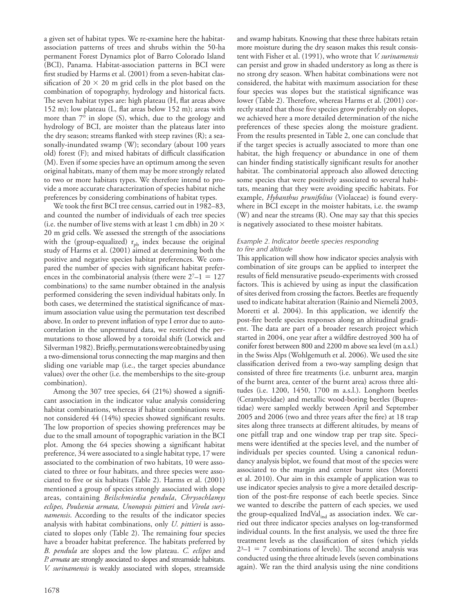a given set of habitat types. We re-examine here the habitatassociation patterns of trees and shrubs within the 50-ha permanent Forest Dynamics plot of Barro Colorado Island (BCI), Panama. Habitat-association patterns in BCI were first studied by Harms et al. (2001) from a seven-habitat classification of  $20 \times 20$  m grid cells in the plot based on the combination of topography, hydrology and historical facts. The seven habitat types are: high plateau (H, flat areas above 152 m); low plateau (L, flat areas below 152 m); areas with more than  $7^\circ$  in slope (S), which, due to the geology and hydrology of BCI, are moister than the plateaus later into the dry season; streams flanked with steep ravines (R); a seasonally-inundated swamp (W); secondary (about 100 years old) forest (F); and mixed habitats of difficult classification (M). Even if some species have an optimum among the seven original habitats, many of them may be more strongly related to two or more habitats types. We therefore intend to provide a more accurate characterization of species habitat niche preferences by considering combinations of habitat types.

We took the first BCI tree census, carried out in 1982–83, and counted the number of individuals of each tree species (i.e. the number of live stems with at least 1 cm dbh) in 20  $\times$ 20 m grid cells. We assessed the strength of the associations with the (group-equalized)  $r_{pb}$  index because the original study of Harms et al. (2001) aimed at determining both the positive and negative species habitat preferences. We compared the number of species with significant habitat preferences in the combinatorial analysis (there were  $2^7 - 1 = 127$ combinations) to the same number obtained in the analysis performed considering the seven individual habitats only. In both cases, we determined the statistical significance of maximum association value using the permutation test described above. In order to prevent inflation of type I error due to autocorrelation in the unpermuted data, we restricted the permutations to those allowed by a toroidal shift (Lotwick and Silverman 1982). Briefly, permutations were obtained by using a two-dimensional torus connecting the map margins and then sliding one variable map (i.e., the target species abundance values) over the other (i.e. the memberships to the site-group combination).

Among the 307 tree species, 64 (21%) showed a significant association in the indicator value analysis considering habitat combinations, whereas if habitat combinations were not considered 44 (14%) species showed significant results. The low proportion of species showing preferences may be due to the small amount of topographic variation in the BCI plot. Among the 64 species showing a significant habitat preference, 34 were associated to a single habitat type, 17 were associated to the combination of two habitats, 10 were associated to three or four habitats, and three species were associated to five or six habitats (Table 2). Harms et al. (2001) mentioned a group of species strongly associated with slope areas, containing *Beilschmiedia pendula*, *Chrysochlamys eclipes, Poulsenia armata, Unonopsis pittieri* and *Virola surinamensis*. According to the results of the indicator species analysis with habitat combinations, only *U. pittieri* is associated to slopes only (Table 2). The remaining four species have a broader habitat preference. The habitats preferred by *B. pendula* are slopes and the low plateau. *C. eclipes* and *P. armata* are strongly associated to slopes and streamside habitats. *V. surinamensis* is weakly associated with slopes, streamside

1678

and swamp habitats. Knowing that these three habitats retain more moisture during the dry season makes this result consistent with Fisher et al. (1991), who wrote that *V. surinamensis* can persist and grow in shaded understory as long as there is no strong dry season. When habitat combinations were not considered, the habitat with maximum association for these four species was slopes but the statistical significance was lower (Table 2). Therefore, whereas Harms et al. (2001) correctly stated that those five species grow preferably on slopes, we achieved here a more detailed determination of the niche preferences of these species along the moisture gradient. From the results presented in Table 2, one can conclude that if the target species is actually associated to more than one habitat, the high frequency or abundance in one of them can hinder finding statistically significant results for another habitat. The combinatorial approach also allowed detecting some species that were positively associated to several habitats, meaning that they were avoiding specific habitats. For example, *Hybanthus prunifolius* (Violaceae) is found everywhere in BCI except in the moister habitats, i.e. the swamp (W) and near the streams (R). One may say that this species is negatively associated to these moister habitats.

## *Example 2. Indicator beetle species responding to fi re and altitude*

This application will show how indicator species analysis with combination of site groups can be applied to interpret the results of field mensurative pseudo-experiments with crossed factors. This is achieved by using as input the classification of sites derived from crossing the factors. Beetles are frequently used to indicate habitat alteration (Rainio and Niemelä 2003, Moretti et al. 2004). In this application, we identify the post-fire beetle species responses along an altitudinal gradient. The data are part of a broader research project which started in 2004, one year after a wildfire destroyed 300 ha of conifer forest between 800 and 2200 m above sea level (m a.s.l.) in the Swiss Alps (Wohlgemuth et al. 2006). We used the site classification derived from a two-way sampling design that consisted of three fire treatments (i.e. unburnt area, margin of the burnt area, center of the burnt area) across three altitudes (i.e. 1200, 1450, 1700 m a.s.l.). Longhorn beetles (Cerambycidae) and metallic wood-boring beetles (Buprestidae) were sampled weekly between April and September 2005 and 2006 (two and three years after the fire) at 18 trap sites along three transects at different altitudes, by means of one pitfall trap and one window trap per trap site. Specimens were identified at the species level, and the number of individuals per species counted. Using a canonical redundancy analysis biplot, we found that most of the species were associated to the margin and center burnt sites (Moretti et al. 2010). Our aim in this example of application was to use indicator species analysis to give a more detailed description of the post-fire response of each beetle species. Since we wanted to describe the pattern of each species, we used the group-equalized IndVal $_{ind}$  as association index. We carried out three indicator species analyses on log-transformed individual counts. In the first analysis, we used the three fire treatment levels as the classification of sites (which yields  $2^{3}-1 = 7$  combinations of levels). The second analysis was conducted using the three altitude levels (seven combinations again). We ran the third analysis using the nine conditions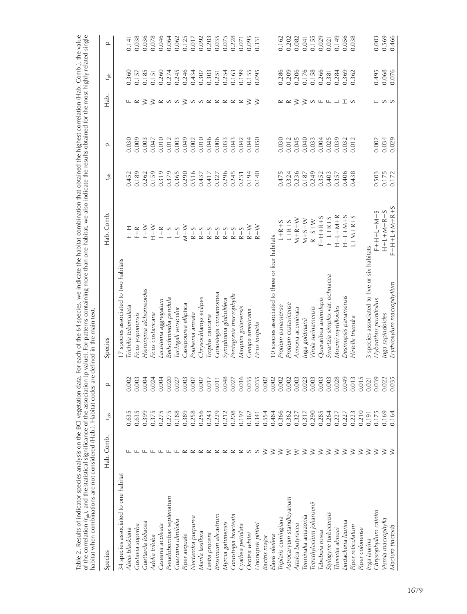| habitat when combinations are not considered (Hab.). Habitat codes |                |       |                           | of the correlation (r <sub>ja</sub> ), and the statistical significance of the association (p-value). For patterns containing more than one habitat, we also indicate the results obtained for the most highly related single<br>are defined in the main text. |                           |       |       |                                                                            |                 |          |
|--------------------------------------------------------------------|----------------|-------|---------------------------|----------------------------------------------------------------------------------------------------------------------------------------------------------------------------------------------------------------------------------------------------------------|---------------------------|-------|-------|----------------------------------------------------------------------------|-----------------|----------|
| Species                                                            | Hab. Comb.     | Lep   |                           | Species                                                                                                                                                                                                                                                        | Hab. Comb                 | Leb   | ௨     | Hab.                                                                       | L <sub>ob</sub> | $\Omega$ |
| 34 species associated to one habitat                               |                |       |                           | 17 species associated to two habitats                                                                                                                                                                                                                          |                           |       |       |                                                                            |                 |          |
| Alseis blackiana                                                   |                | 0.63  | $\overline{5}$<br>$\circ$ | Trichilia tuberculata                                                                                                                                                                                                                                          | 工<br>土                    | 0.452 | 0.030 |                                                                            | 0.360           | 0.141    |
| Custavia superba                                                   | ட              | 0.635 | 003<br>$\ddot{\circ}$     | Ficus yoponensis                                                                                                                                                                                                                                               | $\mathsf{F}+\mathsf{R}$   | 0.189 | 0.009 | ≃                                                                          | 0.157           | 0.038    |
| Cuettarda foliacea                                                 | <b>LL</b>      | 0.399 | 0.004                     | Hieronyma alchorneoides                                                                                                                                                                                                                                        | $F + W$                   | 0.262 | 0.003 | $\geq$                                                                     | 0.185           | 0.036    |
| Adelia triloba                                                     | طا طا طا       | 0.375 | 0.024                     | Ficus costaricana                                                                                                                                                                                                                                              | $2 + 7$                   | 0.159 | 0.047 | $\geq$                                                                     | 0.151           | 0.078    |
| Casearia aculeata                                                  |                | 0.275 | 0.004                     | Lacistema aggregatum                                                                                                                                                                                                                                           | $\mathbf{1} + \mathbf{R}$ | 0.319 | 0.010 |                                                                            | 0.260           | 0.046    |
| Pseudobombax septenatum                                            |                | 0.275 | 020<br>$\frac{1}{2}$      | Beilschmiedia pendula                                                                                                                                                                                                                                          | $5 + 1$                   | 0.379 | 0.012 | $\alpha$ $\omega$                                                          | 0.274           | 0.064    |
| Guazuma ulmifolia                                                  |                | 0.188 | 27                        | Tachigali versicolor                                                                                                                                                                                                                                           | $S+7$                     | 0.365 | 0.003 |                                                                            | 0.245           | 0.062    |
| Piper aequale                                                      |                | 0.389 | 203<br>$\frac{1}{2}$      | Cassipourea elliptica                                                                                                                                                                                                                                          | $X + W$                   | 0.290 | 0.049 |                                                                            | 0.246           | 0.125    |
| Nectandra purpurea                                                 |                | 0.258 | 207                       | Poulsenia armata                                                                                                                                                                                                                                               | $R + S$                   | 0.516 | 0.002 |                                                                            | 0.434           | 0.017    |
| Marila laxiflora                                                   | <b>KKKKKKK</b> | 0.256 | 007                       | Chrysochlamys eclipes                                                                                                                                                                                                                                          | $R + S$                   | 0.437 | 0.010 | $\geqslant$ so so $\propto$ $\propto$ $\propto$                            | 0.307           | 0.092    |
| Laetia procera                                                     |                | 0.243 | 017<br>$\ddot{\circ}$     | Trophis caucana                                                                                                                                                                                                                                                | $R + S$                   | 0.417 | 0.046 |                                                                            | 0.303           | 0.203    |
| Brosimum alicastrum                                                |                | 0.229 | 011<br>$\overline{0}$ .   | Conostegia cinnamomea                                                                                                                                                                                                                                          | $R+5$                     | 0.327 | 0.006 |                                                                            | 0.251           | 0.035    |
| Myrcia gatunensis                                                  |                | 0.212 | 048<br>$\overline{0}$ .   | Symphonia globulifera                                                                                                                                                                                                                                          | $R + S$                   | 0.296 | 0.033 |                                                                            | 0.254           | 0.075    |
| Conostegia bracteata                                               |                | 0.208 | 027<br>$\ddot{\circ}$     | Pentagonia macrophylla                                                                                                                                                                                                                                         | $R+5$                     | 0.245 | 0.043 |                                                                            | 0.163           | 0.228    |
| Cyathea petiolata                                                  |                | 0.197 | 016                       | Maquira guianensis                                                                                                                                                                                                                                             | $R + S$                   | 0.231 | 0.042 | $\alpha \propto \alpha$                                                    | 0.199           | 0.071    |
| Ocotea whitei                                                      |                | 0.362 | 035                       | Genipa americana                                                                                                                                                                                                                                               | $R + W$                   | 0.194 | 0.044 |                                                                            | 0.155           | 0.095    |
| Unonopsis pittieri                                                 | S              | 0.341 | 035<br>88888              | Ficus insipida                                                                                                                                                                                                                                                 | $R + W$                   | 0.140 | 0.050 | $\geq$                                                                     | 0.095           | 0.331    |
| Bactris major                                                      | $\geq$         | 0.554 | 002                       |                                                                                                                                                                                                                                                                |                           |       |       |                                                                            |                 |          |
| Elaeis oleifera                                                    | ≥              | 0.484 | 002                       | 10 species associated to three or four habitats                                                                                                                                                                                                                |                           |       |       |                                                                            |                 |          |
| Triplaris cumingiana                                               | ≥              | 0.366 | 002<br>$\ddot{\circ}$     | Protium panamense                                                                                                                                                                                                                                              | $L+R+S$                   | 0.475 | 0.030 |                                                                            | 0.286           | 0.162    |
| Astrocaryum standleyanum                                           | $\geq$         | 0.362 | 0.002                     | Protium costaricense                                                                                                                                                                                                                                           | $L+R+S$                   | 0.324 | 0.012 | $\simeq$                                                                   | 0.209           | 0.202    |
| Attalea butyracea                                                  | $\geq$         | 0.327 | 003                       | Annona acuminata                                                                                                                                                                                                                                               | $M+RA+VV$                 | 0.236 | 0.045 | $\geq$                                                                     | 0.206           | 0.082    |
| Terminalia amazonia                                                | $\geq$         | 0.317 | 023                       | Inga goldmanii                                                                                                                                                                                                                                                 | $W+S+N$                   | 0.187 | 0.040 |                                                                            | 0.176           | 0.041    |
| Tetrathylacium johansenii                                          | $\geq$         | 0.290 | 003                       | Virola surinamensis                                                                                                                                                                                                                                            | $R + S + W$               | 0.249 | 0.033 |                                                                            | 0.158           | 0.155    |
| Tabebuia rosea                                                     | $\geq$         | 0.285 | 003<br>000000             | Quararibea asterolepis                                                                                                                                                                                                                                         | $F + H + R + S$           | 0.352 | 0.004 | $\geqslant$ $\circ$ $\sqsubset$ $\sqsubset$ $\sqsubset$ $\sqsubset$ $\vee$ | 0.266           | 0,029    |
| Stylogyne turbacensis                                              | $\geq$         | 0.264 | 203                       | Swartzia simplex var. ochnacea                                                                                                                                                                                                                                 | $F+L+R+S$                 | 0.403 | 0.025 |                                                                            | 0.381           | 0.021    |
| Thevetia ahouai                                                    | $\geq$         | 0.227 | 028                       | Mouriri myrtilloides                                                                                                                                                                                                                                           | $-1 + L + M + R$          | 0.357 | 0.039 |                                                                            | 0.284           | 0.149    |
| Lindackeria laurina                                                | $\geq$         | 0.227 | 940<br>$\ddot{\circ}$     | Desmopsis panamensis                                                                                                                                                                                                                                           | $S + N + 1 + N + S$       | 0.406 | 0.032 |                                                                            | 0.369           | 0.056    |
| Piper reticulatum                                                  | $\geq$         | 0.223 | 013<br>$\ddot{\circ}$     | Hirtella triandra                                                                                                                                                                                                                                              | $L+MA+R+S$                | 0.438 | 0.012 |                                                                            | 0.362           | 0.038    |
| Piper colonense                                                    | $\geq$         | 0.210 | 0.015                     |                                                                                                                                                                                                                                                                |                           |       |       |                                                                            |                 |          |
| Inga laurina                                                       | $\geq$         | 0.191 | 021<br>$\overline{0}$ .   | 3 species associated to five or six habitats                                                                                                                                                                                                                   |                           |       |       |                                                                            |                 |          |
| Chrysophyllum cainito                                              | $\geq$         | 0.175 | 039<br>$\ddot{\circ}$     | Hybanthus prunifolius                                                                                                                                                                                                                                          | $F+H+L+M+S$               | 0.503 | 0.002 |                                                                            | 0.495           | 0.003    |
| Vismia macrophylla                                                 | $\geq$         | 0.169 | 0.022                     | Inga sapindoides                                                                                                                                                                                                                                               | $H + L + M + R + S$       | 0.175 | 0.034 | S S                                                                        | 0.068<br>0.076  | 0.569    |
| Maclura tinctoria                                                  |                | 0.164 | 0.035                     | Erythroxylum macrophyllum                                                                                                                                                                                                                                      | $F+H+L+M+R+S$             | 0.172 | 0.029 |                                                                            |                 | 0.466    |

Table 2. Results of indicator species analysis on the BCI vegetation data. For each of the 64 species, we indicate the habitat combination that obtained the highest correlation (Hab. Comb.), the value Table 2. Results of indicator species analysis on the BCI vegetation data. For each of the 64 species, we indicate the habitat combination that obtained the highest correlation (Hab. Comb.), the value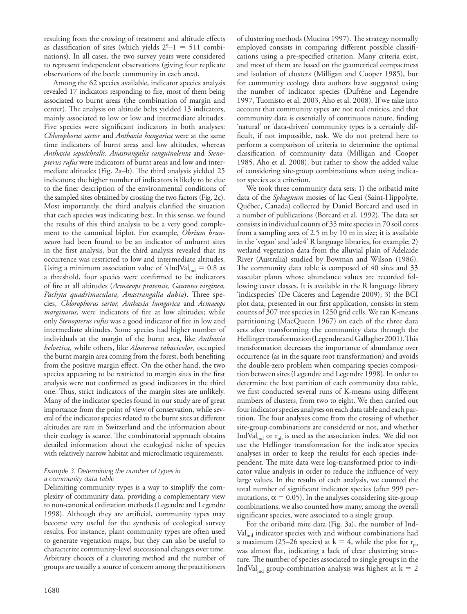resulting from the crossing of treatment and altitude effects as classification of sites (which yields  $2^9-1 = 511$  combinations). In all cases, the two survey years were considered to represent independent observations (giving four replicate observations of the beetle community in each area).

 Among the 62 species available, indicator species analysis revealed 17 indicators responding to fire, most of them being associated to burnt areas (the combination of margin and center). The analysis on altitude belts yielded 13 indicators, mainly associated to low or low and intermediate altitudes. Five species were significant indicators in both analyses: *Chlorophorus sartor* and *Anthaxia hungarica* were at the same time indicators of burnt areas and low altitudes, whereas *Anthaxia sepulchralis, Anastrangalia sanguinolenta* and *Stenopterus rufus* were indicators of burnt areas and low and intermediate altitudes (Fig. 2a–b). The third analysis yielded 25 indicators; the higher number of indicators is likely to be due to the finer description of the environmental conditions of the sampled sites obtained by crossing the two factors (Fig. 2c). Most importantly, the third analysis clarified the situation that each species was indicating best. In this sense, we found the results of this third analysis to be a very good complement to the canonical biplot. For example, *Obrium brunneum* had been found to be an indicator of unburnt sites in the first analysis, but the third analysis revealed that its occurrence was restricted to low and intermediate altitudes. Using a minimum association value of  $\sqrt{IndVal}_{ind} = 0.8$  as a threshold, four species were confirmed to be indicators of fire at all altitudes (Acmaeops pratensis, Gaurotes virginea, Pachyta quadrimaculata, Anastrangalia dubia). Three species, *Chlorophorus sartor, Anthaxia hungarica* and *Acmaeops marginatus*, were indicators of fire at low altitudes; while only *Stenopterus rufus* was a good indicator of fire in low and intermediate altitudes. Some species had higher number of individuals at the margin of the burnt area, like *Anthaxia helvetica*, while others, like *Alosterna tabacicolor*, occupied the burnt margin area coming from the forest, both benefiting from the positive margin effect. On the other hand, the two species appearing to be restricted to margin sites in the first analysis were not confirmed as good indicators in the third one. Thus, strict indicators of the margin sites are unlikely. Many of the indicator species found in our study are of great importance from the point of view of conservation, while several of the indicator species related to the burnt sites at different altitudes are rare in Switzerland and the information about their ecology is scarce. The combinatorial approach obtains detailed information about the ecological niche of species with relatively narrow habitat and microclimatic requirements.

#### *Example 3. Determining the number of types in a community data table*

 Delimiting community types is a way to simplify the complexity of community data, providing a complementary view to non-canonical ordination methods (Legendre and Legendre 1998). Although they are artificial, community types may become very useful for the synthesis of ecological survey results. For instance, plant community types are often used to generate vegetation maps, but they can also be useful to characterize community-level successional changes over time. Arbitrary choices of a clustering method and the number of groups are usually a source of concern among the practitioners

1680

of clustering methods (Mucina 1997). The strategy normally employed consists in comparing different possible classifications using a pre-specified criterion. Many criteria exist, and most of them are based on the geometrical compactness and isolation of clusters (Milligan and Cooper 1985), but for community ecology data authors have suggested using the number of indicator species (Dufrêne and Legendre 1997, Tuomisto et al. 2003, Aho et al. 2008). If we take into account that community types are not real entities, and that community data is essentially of continuous nature, finding 'natural' or 'data-driven' community types is a certainly difficult, if not impossible, task. We do not pretend here to perform a comparison of criteria to determine the optimal classification of community data (Milligan and Cooper 1985, Aho et al. 2008), but rather to show the added value of considering site-group combinations when using indicator species as a criterion.

We took three community data sets: 1) the oribatid mite data of the *Sphagnum* mosses of lac Geai (Saint-Hippolyte, Québec, Canada) collected by Daniel Borcard and used in a number of publications (Borcard et al. 1992). The data set consists in individual counts of 35 mite species in 70 soil cores from a sampling area of 2.5 m by 10 m in size; it is available in the 'vegan' and 'ade4' R language libraries, for example; 2) wetland vegetation data from the alluvial plain of Adelaide River (Australia) studied by Bowman and Wilson (1986). The community data table is composed of 40 sites and 33 vascular plants whose abundance values are recorded following cover classes. It is available in the R language library 'indicspecies' (De Cáceres and Legendre 2009); 3) the BCI plot data, presented in our first application, consists in stem counts of 307 tree species in 1250 grid cells. We ran K-means partitioning (MacQueen 1967) on each of the three data sets after transforming the community data through the Hellinger transformation (Legendre and Gallagher 2001). This transformation decreases the importance of abundance over occurrence (as in the square root transformation) and avoids the double-zero problem when comparing species composition between sites (Legendre and Legendre 1998). In order to determine the best partition of each community data table, we first conducted several runs of K-means using different numbers of clusters, from two to eight. We then carried out four indicator species analyses on each data table and each partition. The four analyses come from the crossing of whether site-group combinations are considered or not, and whether IndVal<sub>ind</sub> or  $r_{\text{pb}}$  is used as the association index. We did not use the Hellinger transformation for the indicator species analyses in order to keep the results for each species independent. The mite data were log-transformed prior to indicator value analysis in order to reduce the influence of very large values. In the results of each analysis, we counted the total number of significant indicator species (after 999 permutations,  $\alpha = 0.05$ ). In the analyses considering site-group combinations, we also counted how many, among the overall significant species, were associated to a single group.

 For the oribatid mite data (Fig. 3a), the number of Ind-Val<sub>ind</sub> indicator species with and without combinations had a maximum (25–26 species) at  $k = 4$ , while the plot for  $r_{pk}$ was almost flat, indicating a lack of clear clustering structure. The number of species associated to single groups in the IndVal<sub>ind</sub> group-combination analysis was highest at  $k = 2$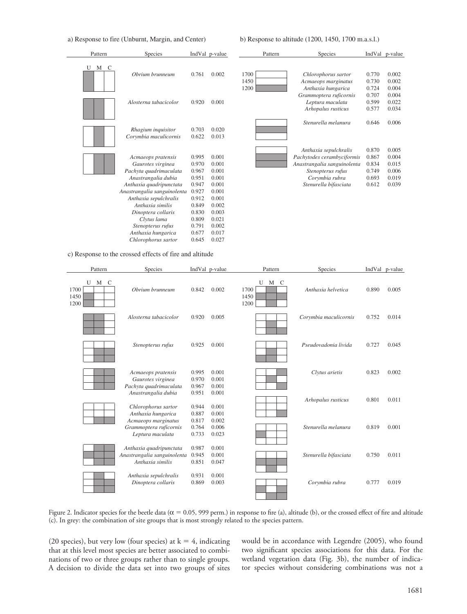a) Response to fire (Unburnt, Margin, and Center)

| Pattern     | <b>Species</b>                                                                                                                                                                                  |                                                                      | IndVal p-value                                                       | Pattern      | <b>Species</b>                                                                                                                                     | IndVal p-valu                                      |                                                    |
|-------------|-------------------------------------------------------------------------------------------------------------------------------------------------------------------------------------------------|----------------------------------------------------------------------|----------------------------------------------------------------------|--------------|----------------------------------------------------------------------------------------------------------------------------------------------------|----------------------------------------------------|----------------------------------------------------|
| M<br>C<br>U | Obrium brunneum                                                                                                                                                                                 | 0.761                                                                | 0.002                                                                | 1700<br>1450 | Chlorophorus sartor<br>Acmaeops marginatus                                                                                                         | 0.770<br>0.730                                     | 0.002<br>0.002                                     |
|             | Alosterna tabacicolor                                                                                                                                                                           | 0.920                                                                | 0.001                                                                | 1200         | Anthaxia hungarica<br>Grammoptera ruficornis<br>Leptura maculata<br>Arhopalus rusticus                                                             | 0.724<br>0.707<br>0.599<br>0.577                   | 0.004<br>0.004<br>0.022<br>0.034                   |
|             | Rhagium inquisitor<br>Corymbia maculicornis                                                                                                                                                     | 0.703<br>0.622                                                       | 0.020<br>0.013                                                       |              | Stenurella melanura                                                                                                                                | 0.646                                              | 0.006                                              |
|             | Acmaeops pratensis<br>Gaurotes virginea<br>Pachyta quadrimaculata<br>Anastrangalia dubia<br>Anthaxia quadripunctata<br>Anastrangalia sanguinolenta<br>Anthaxia sepulchralis<br>Anthaxia similis | 0.995<br>0.970<br>0.967<br>0.951<br>0.947<br>0.927<br>0.912<br>0.849 | 0.001<br>0.001<br>0.001<br>0.001<br>0.001<br>0.001<br>0.001<br>0.002 |              | Anthaxia sepulchralis<br>Pachytodes cerambyciformis<br>Anastrangalia sanguinolenta<br>Stenopterus rufus<br>Corymbia rubra<br>Stenurella bifasciata | 0.870<br>0.867<br>0.834<br>0.749<br>0.693<br>0.612 | 0.005<br>0.004<br>0.015<br>0.006<br>0.019<br>0.039 |
|             | Dinoptera collaris<br>Clytus lama<br>Stenopterus rufus<br>Anthaxia hungarica<br>Chlorophorus sartor                                                                                             | 0.830<br>0.809<br>0.791<br>0.677<br>0.645                            | 0.003<br>0.021<br>0.002<br>0.017<br>0.027                            |              |                                                                                                                                                    |                                                    |                                                    |

|  |  | b) Response to altitude (1200, 1450, 1700 m.a.s.l.) |  |
|--|--|-----------------------------------------------------|--|
|  |  |                                                     |  |

| <b>Species</b>                              |                | Ind Val p-value | Pattern | <b>Species</b>              | IndVal | p-value |
|---------------------------------------------|----------------|-----------------|---------|-----------------------------|--------|---------|
|                                             |                |                 |         |                             |        |         |
| Obrium brunneum                             | 0.761          | 0.002           | 1700    | Chlorophorus sartor         | 0.770  | 0.002   |
|                                             |                |                 | 1450    | Acmaeops marginatus         | 0.730  | 0.002   |
|                                             |                |                 | 1200    | Anthaxia hungarica          | 0.724  | 0.004   |
|                                             |                |                 |         | Grammoptera ruficornis      | 0.707  | 0.004   |
| Alosterna tabacicolor                       | 0.920          | 0.001           |         | Leptura maculata            | 0.599  | 0.022   |
|                                             |                |                 |         | Arhopalus rusticus          | 0.577  | 0.034   |
| Rhagium inquisitor<br>Corymbia maculicornis | 0.703<br>0.622 | 0.020<br>0.013  |         | Stenurella melanura         | 0.646  | 0.006   |
|                                             |                |                 |         | Anthaxia sepulchralis       | 0.870  | 0.005   |
| Acmaeops pratensis                          | 0.995          | 0.001           |         | Pachytodes cerambyciformis  | 0.867  | 0.004   |
| Gaurotes virginea                           | 0.970          | 0.001           |         | Anastrangalia sanguinolenta | 0.834  | 0.015   |
| Pachyta quadrimaculata                      | 0.967          | 0.001           |         | Stenopterus rufus           | 0.749  | 0.006   |
| Anastrangalia dubia                         | 0.951          | 0.001           |         | Corymbia rubra              | 0.693  | 0.019   |
| Anthaxia auadrinunctata                     | 0.947          | 0.001           |         | Stenurella hifasciata       | 0.612  | 0.039   |

c) Response to the crossed effects of fire and altitude

| Pattern                                          | Species                     |       | IndVal p-value | Pattern                             | Species               |       | IndVal p-value |
|--------------------------------------------------|-----------------------------|-------|----------------|-------------------------------------|-----------------------|-------|----------------|
| M<br><sup>-</sup> C<br>U<br>1700<br>1450<br>1200 | Obrium brunneum             | 0.842 | 0.002          | M<br>C<br>U<br>1700<br>1450<br>1200 | Anthaxia helvetica    | 0.890 | 0.005          |
|                                                  | Alosterna tabacicolor       | 0.920 | 0.005          |                                     | Corymbia maculicornis | 0.752 | 0.014          |
|                                                  | Stenopterus rufus           | 0.925 | 0.001          |                                     | Pseudovadonia livida  | 0.727 | 0.045          |
|                                                  | Acmaeops pratensis          | 0.995 | 0.001          |                                     | Clytus arietis        | 0.823 | 0.002          |
|                                                  | Gaurotes virginea           | 0.970 | 0.001          |                                     |                       |       |                |
|                                                  | Pachyta quadrimaculata      | 0.967 | 0.001          |                                     |                       |       |                |
|                                                  | Anastrangalia dubia         | 0.951 | 0.001          |                                     |                       |       |                |
|                                                  |                             |       |                |                                     | Arhopalus rusticus    | 0.801 | 0.011          |
|                                                  | Chlorophorus sartor         | 0.944 | 0.001          |                                     |                       |       |                |
|                                                  | Anthaxia hungarica          | 0.887 | 0.001          |                                     |                       |       |                |
|                                                  | Acmaeops marginatus         | 0.817 | 0.002          |                                     |                       |       |                |
|                                                  | Grammoptera ruficornis      | 0.764 | 0.006          |                                     | Stenurella melanura   | 0.819 | 0.001          |
|                                                  | Leptura maculata            | 0.733 | 0.023          |                                     |                       |       |                |
|                                                  | Anthaxia quadripunctata     | 0.987 | 0.001          |                                     |                       |       |                |
|                                                  | Anastrangalia sanguinolenta | 0.945 | 0.001          |                                     | Stenurella bifasciata | 0.750 | 0.011          |
|                                                  | Anthaxia similis            | 0.851 | 0.047          |                                     |                       |       |                |
|                                                  | Anthaxia sepulchralis       | 0.931 | 0.001          |                                     |                       |       |                |
|                                                  | Dinoptera collaris          | 0.869 | 0.003          |                                     | Corymbia rubra        | 0.777 | 0.019          |

Figure 2. Indicator species for the beetle data ( $\alpha = 0.05$ , 999 perm.) in response to fire (a), altitude (b), or the crossed effect of fire and altitude (c). In grey: the combination of site groups that is most strongly related to the species pattern.

(20 species), but very low (four species) at  $k = 4$ , indicating that at this level most species are better associated to combinations of two or three groups rather than to single groups. A decision to divide the data set into two groups of sites

would be in accordance with Legendre (2005), who found two significant species associations for this data. For the wetland vegetation data (Fig. 3b), the number of indicator species without considering combinations was not a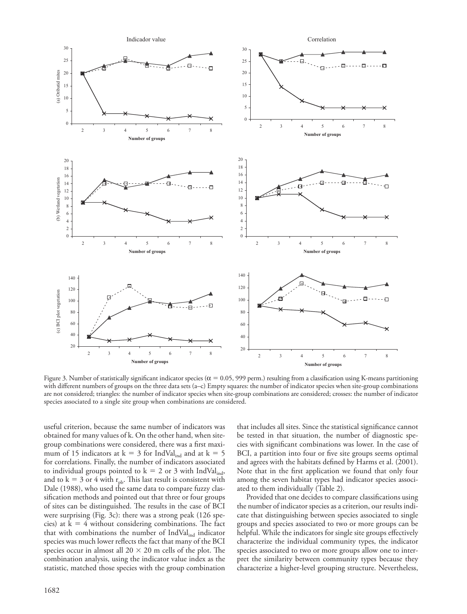

Figure 3. Number of statistically significant indicator species ( $\alpha = 0.05$ , 999 perm.) resulting from a classification using K-means partitioning with different numbers of groups on the three data sets (a–c) Empty squares: the number of indicator species when site-group combinations are not considered; triangles: the number of indicator species when site-group combinations are considered; crosses: the number of indicator species associated to a single site group when combinations are considered.

useful criterion, because the same number of indicators was obtained for many values of k. On the other hand, when sitegroup combinations were considered, there was a first maximum of 15 indicators at  $k = 3$  for IndVal<sub>ind</sub> and at  $k = 5$ for correlations. Finally, the number of indicators associated to individual groups pointed to  $k = 2$  or 3 with IndVal<sub>ind</sub>, and to  $k = 3$  or 4 with  $r_{pb}$ . This last result is consistent with Dale (1988), who used the same data to compare fuzzy classification methods and pointed out that three or four groups of sites can be distinguished. The results in the case of BCI were surprising (Fig. 3c): there was a strong peak (126 species) at  $k = 4$  without considering combinations. The fact that with combinations the number of  $IndVal<sub>ind</sub>$  indicator species was much lower reflects the fact that many of the BCI species occur in almost all  $20 \times 20$  m cells of the plot. The combination analysis, using the indicator value index as the statistic, matched those species with the group combination

that includes all sites. Since the statistical significance cannot be tested in that situation, the number of diagnostic species with significant combinations was lower. In the case of BCI, a partition into four or five site groups seems optimal and agrees with the habitats defined by Harms et al. (2001). Note that in the first application we found that only four among the seven habitat types had indicator species associated to them individually (Table 2).

Provided that one decides to compare classifications using the number of indicator species as a criterion, our results indicate that distinguishing between species associated to single groups and species associated to two or more groups can be helpful. While the indicators for single site groups effectively characterize the individual community types, the indicator species associated to two or more groups allow one to interpret the similarity between community types because they characterize a higher-level grouping structure. Nevertheless,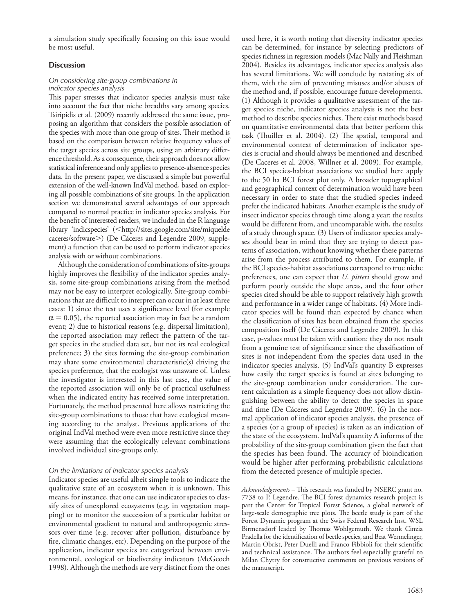a simulation study specifically focusing on this issue would be most useful.

## **Discussion**

#### *On considering site-group combinations in indicator species analysis*

This paper stresses that indicator species analysis must take into account the fact that niche breadths vary among species. Tsiripidis et al. (2009) recently addressed the same issue, proposing an algorithm that considers the possible association of the species with more than one group of sites. Their method is based on the comparison between relative frequency values of the target species across site groups, using an arbitrary difference threshold. As a consequence, their approach does not allow statistical inference and only applies to presence-absence species data. In the present paper, we discussed a simple but powerful extension of the well-known IndVal method, based on exploring all possible combinations of site groups. In the application section we demonstrated several advantages of our approach compared to normal practice in indicator species analysis. For the benefit of interested readers, we included in the R language library 'indicspecies' (<http://sites.google.com/site/miquelde caceres/software) (De Cáceres and Legendre 2009, supplement) a function that can be used to perform indicator species analysis with or without combinations.

 Although the consideration of combinations of site-groups highly improves the flexibility of the indicator species analysis, some site-group combinations arising from the method may not be easy to interpret ecologically. Site-group combinations that are difficult to interpret can occur in at least three cases: 1) since the test uses a significance level (for example  $\alpha$  = 0.05), the reported association may in fact be a random event; 2) due to historical reasons (e.g. dispersal limitation), the reported association may reflect the pattern of the target species in the studied data set, but not its real ecological preference; 3) the sites forming the site-group combination may share some environmental characteristic(s) driving the species preference, that the ecologist was unaware of. Unless the investigator is interested in this last case, the value of the reported association will only be of practical usefulness when the indicated entity has received some interpretation. Fortunately, the method presented here allows restricting the site-group combinations to those that have ecological meaning according to the analyst. Previous applications of the original IndVal method were even more restrictive since they were assuming that the ecologically relevant combinations involved individual site-groups only.

## *On the limitations of indicator species analysis*

 Indicator species are useful albeit simple tools to indicate the qualitative state of an ecosystem when it is unknown. This means, for instance, that one can use indicator species to classify sites of unexplored ecosystems (e.g. in vegetation mapping) or to monitor the succession of a particular habitat or environmental gradient to natural and anthropogenic stressors over time (e.g. recover after pollution, disturbance by fire, climatic changes, etc). Depending on the purpose of the application, indicator species are categorized between environmental, ecological or biodiversity indicators (McGeoch 1998). Although the methods are very distinct from the ones used here, it is worth noting that diversity indicator species can be determined, for instance by selecting predictors of species richness in regression models (Mac Nally and Fleishman 2004). Besides its advantages, indicator species analysis also has several limitations. We will conclude by restating six of them, with the aim of preventing misuses and/or abuses of the method and, if possible, encourage future developments. (1) Although it provides a qualitative assessment of the target species niche, indicator species analysis is not the best method to describe species niches. There exist methods based on quantitative environmental data that better perform this task (Thuiller et al. 2004). (2) The spatial, temporal and environmental context of determination of indicator species is crucial and should always be mentioned and described (De Caceres et al. 2008, Willner et al. 2009). For example, the BCI species-habitat associations we studied here apply to the 50 ha BCI forest plot only. A broader topographical and geographical context of determination would have been necessary in order to state that the studied species indeed prefer the indicated habitats. Another example is the study of insect indicator species through time along a year: the results would be different from, and uncomparable with, the results of a study through space. (3) Users of indicator species analyses should bear in mind that they are trying to detect patterns of association, without knowing whether these patterns arise from the process attributed to them. For example, if the BCI species-habitat associations correspond to true niche preferences, one can expect that *U. pitteri* should grow and perform poorly outside the slope areas, and the four other species cited should be able to support relatively high growth and performance in a wider range of habitats. (4) More indicator species will be found than expected by chance when the classification of sites has been obtained from the species composition itself (De Cáceres and Legendre 2009). In this case, p-values must be taken with caution: they do not result from a genuine test of significance since the classification of sites is not independent from the species data used in the indicator species analysis. (5) IndVal's quantity B expresses how easily the target species is found at sites belonging to the site-group combination under consideration. The current calculation as a simple frequency does not allow distinguishing between the ability to detect the species in space and time (De Cáceres and Legendre 2009). (6) In the normal application of indicator species analysis, the presence of a species (or a group of species) is taken as an indication of the state of the ecosystem. IndVal's quantity A informs of the probability of the site-group combination given the fact that the species has been found. The accuracy of bioindication would be higher after performing probabilistic calculations from the detected presence of multiple species.

*Acknowledgements* – This research was funded by NSERC grant no. 7738 to P. Legendre. The BCI forest dynamics research project is part the Center for Tropical Forest Science, a global network of large-scale demographic tree plots. The beetle study is part of the Forest Dynamic program at the Swiss Federal Research Inst. WSL Birmensdorf leaded by Thomas Wohlgemuth. We thank Cinzia Pradella for the identification of beetle species, and Beat Wermelinger, Martin Obrist, Peter Duelli and Franco Fibbioli for their scientific and technical assistance. The authors feel especially grateful to Milan Chytry for constructive comments on previous versions of the manuscript.